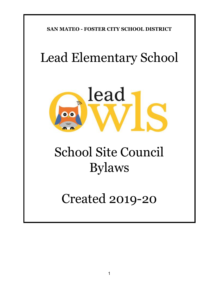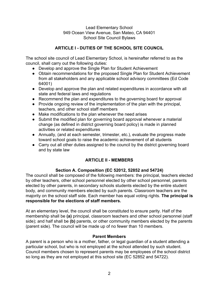### Lead Elementary School 949 Ocean View Avenue, San Mateo, CA 94401 School Site Council Bylaws

# **ARTICLE I - DUTIES OF THE SCHOOL SITE COUNCIL**

The school site council of Lead Elementary School, is hereinafter referred to as the council, shall carry out the following duties:

- Develop and approve the Single Plan for Student Achievement
- Obtain recommendations for the proposed Single Plan for Student Achievement from all stakeholders and any applicable school advisory committees (Ed Code 64001)
- Develop and approve the plan and related expenditures in accordance with all state and federal laws and regulations
- Recommend the plan and expenditures to the governing board for approval
- Provide ongoing review of the implementation of the plan with the principal, teachers, and other school staff members
- Make modifications to the plan whenever the need arises
- Submit the modified plan for governing board approval whenever a material change (as defined in district governing board policy) is made in planned activities or related expenditures
- Annually, (and at each semester, trimester, etc.), evaluate the progress made toward school goals to raise the academic achievement of all students
- Carry out all other duties assigned to the council by the district governing board and by state law

# **ARTICLE II - MEMBERS**

# **Section A. Composition (EC 52012, 52852 and 54724)**

The council shall be composed of the following members: the principal, teachers elected by other teachers, other school personnel elected by other school personnel, parents elected by other parents, in secondary schools students elected by the entire student body, and community members elected by such parents. Classroom teachers are the majority on the school staff side. Each member has equal voting rights. **The principal is responsible for the elections of staff members.**

At an elementary level, the council shall be constituted to ensure parity. Half of the membership shall be **(a)** principal, classroom teachers and other school personnel (staff side); and half shall be **(b)** parents, or other community members elected by the parents (parent side). The council will be made up of no fewer than 10 members.

### **Parent Members**

A parent is a person who is a mother, father, or legal guardian of a student attending a particular school, but who is not employed at the school attended by such student. Council members chosen to represent parents may be employees of the school district so long as they are not employed at this school site (EC 52852 and 54722).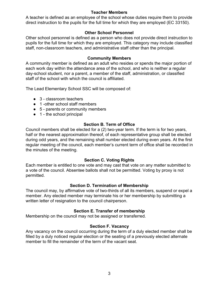### **Teacher Members**

A teacher is defined as an employee of the school whose duties require them to provide direct instruction to the pupils for the full time for which they are employed (EC 33150).

## **Other School Personnel**

Other school personnel is defined as a person who does not provide direct instruction to pupils for the full time for which they are employed. This category may include classified staff, non-classroom teachers, and administrative staff other than the principal.

### **Community Members**

A community member is defined as an adult who resides or spends the major portion of each work day within the attendance area of the school, and who is neither a regular day-school student, nor a parent, a member of the staff, administration, or classified staff of the school with which the council is affiliated.

The Lead Elementary School SSC will be composed of:

- $\bullet$  3 classroom teachers
- 1 -other school staff members
- 5 parents or community members
- $\bullet$  1 the school principal

## **Section B. Term of Office**

Council members shall be elected for a (2) two-year term. If the term is for two years, half or the nearest approximation thereof, of each representative group shall be elected during odd years, and the remaining shall number elected during even years. At the first regular meeting of the council, each member's current term of office shall be recorded in the minutes of the meeting.

## **Section C. Voting Rights**

Each member is entitled to one vote and may cast that vote on any matter submitted to a vote of the council. Absentee ballots shall not be permitted. Voting by proxy is not permitted.

## **Section D. Termination of Membership**

The council may, by affirmative vote of two-thirds of all its members, suspend or expel a member. Any elected member may terminate his or her membership by submitting a written letter of resignation to the council chairperson.

# **Section E. Transfer of membership**

Membership on the council may not be assigned or transferred.

## **Section F. Vacancy**

Any vacancy on the council occurring during the term of a duly elected member shall be filled by a duly noticed regular election or the seating of a previously elected alternate member to fill the remainder of the term of the vacant seat.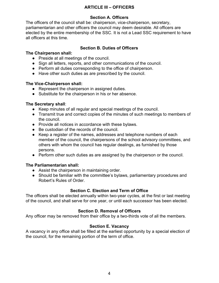# **ARTICLE III – OFFICERS**

## **Section A. Officers**

The officers of the council shall be: chairperson, vice-chairperson, secretary, parliamentarian and other officers the council may deem desirable. All officers are elected by the entire membership of the SSC. It is not a Lead SSC requirement to have all officers at this time.

## **Section B. Duties of Officers**

## **The Chairperson shall:**

- Preside at all meetings of the council.
- Sign all letters, reports, and other communications of the council.
- Perform all duties corresponding to the office of chairperson.
- Have other such duties as are prescribed by the council.

## **The Vice-Chairperson shall:**

- Represent the chairperson in assigned duties.
- Substitute for the chairperson in his or her absence.

# **The Secretary shall**:

- Keep minutes of all regular and special meetings of the council.
- Transmit true and correct copies of the minutes of such meetings to members of the council.
- Provide all notices in accordance with these bylaws.
- Be custodian of the records of the council.
- Keep a register of the names, addresses and telephone numbers of each member of the council, the chairpersons of the school advisory committees, and others with whom the council has regular dealings, as furnished by those persons.
- Perform other such duties as are assigned by the chairperson or the council.

# **The Parliamentarian shall:**

- Assist the chairperson in maintaining order.
- Should be familiar with the committee's bylaws, parliamentary procedures and Robert's Rules of Order.

# **Section C. Election and Term of Office**

The officers shall be elected annually within two-year cycles, at the first or last meeting of the council, and shall serve for one year, or until each successor has been elected.

# **Section D. Removal of Officers**

Any officer may be removed from their office by a two-thirds vote of all the members.

# **Section E. Vacancy**

A vacancy in any office shall be filled at the earliest opportunity by a special election of the council, for the remaining portion of the term of office.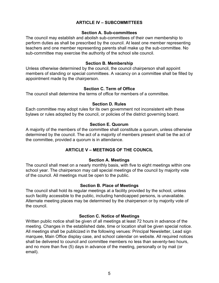## **ARTICLE IV – SUBCOMMITTEES**

#### **Section A. Sub-committees**

The council may establish and abolish sub-committees of their own membership to perform duties as shall be prescribed by the council. At least one member representing teachers and one member representing parents shall make up the sub-committee. No sub-committee may exercise the authority of the school site council.

#### **Section B. Membership**

Unless otherwise determined by the council, the council chairperson shall appoint members of standing or special committees. A vacancy on a committee shall be filled by appointment made by the chairperson.

### **Section C. Term of Office**

The council shall determine the terms of office for members of a committee.

#### **Section D. Rules**

Each committee may adopt rules for its own government not inconsistent with these bylaws or rules adopted by the council, or policies of the district governing board.

### **Section E. Quorum**

A majority of the members of the committee shall constitute a quorum, unless otherwise determined by the council. The act of a majority of members present shall be the act of the committee, provided a quorum is in attendance.

## **ARTICLE V – MEETINGS OF THE COUNCIL**

### **Section A. Meetings**

The council shall meet on a nearly monthly basis, with five to eight meetings within one school year. The chairperson may call special meetings of the council by majority vote of the council. All meetings must be open to the public.

### **Section B. Place of Meetings**

The council shall hold its regular meetings at a facility provided by the school, unless such facility accessible to the public, including handicapped persons, is unavailable. Alternate meeting places may be determined by the chairperson or by majority vote of the council.

### **Section C. Notice of Meetings**

Written public notice shall be given of all meetings at least 72 hours in advance of the meeting. Changes in the established date, time or location shall be given special notice. All meetings shall be publicized in the following venues: Principal Newsletter, Lead sign marquee, Main Office display case, and school calendar on website. All required notices shall be delivered to council and committee members no less than seventy-two hours, and no more than five (5) days in advance of the meeting, personally or by mail (or email).